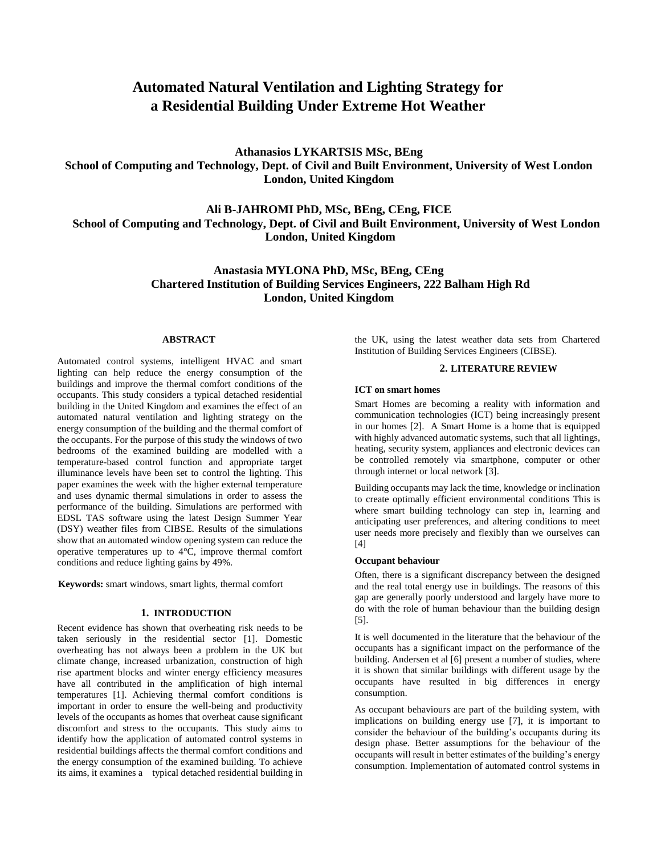# **Automated Natural Ventilation and Lighting Strategy for a Residential Building Under Extreme Hot Weather**

**Athanasios LYKARTSIS MSc, BEng School of Computing and Technology, Dept. of Civil and Built Environment, University of West London London, United Kingdom**

**Ali B-JAHROMI PhD, MSc, BEng, CEng, FICE School of Computing and Technology, Dept. of Civil and Built Environment, University of West London London, United Kingdom**

# **Anastasia MYLONA PhD, MSc, BEng, CEng Chartered Institution of Building Services Engineers, 222 Balham High Rd London, United Kingdom**

#### **ABSTRACT**

Automated control systems, intelligent HVAC and smart lighting can help reduce the energy consumption of the buildings and improve the thermal comfort conditions of the occupants. This study considers a typical detached residential building in the United Kingdom and examines the effect of an automated natural ventilation and lighting strategy on the energy consumption of the building and the thermal comfort of the occupants. For the purpose of this study the windows of two bedrooms of the examined building are modelled with a temperature-based control function and appropriate target illuminance levels have been set to control the lighting. This paper examines the week with the higher external temperature and uses dynamic thermal simulations in order to assess the performance of the building. Simulations are performed with EDSL TAS software using the latest Design Summer Year (DSY) weather files from CIBSE. Results of the simulations show that an automated window opening system can reduce the operative temperatures up to 4°C, improve thermal comfort conditions and reduce lighting gains by 49%.

**Keywords:** smart windows, smart lights, thermal comfort

#### **1. INTRODUCTION**

Recent evidence has shown that overheating risk needs to be taken seriously in the residential sector [1]. Domestic overheating has not always been a problem in the UK but climate change, increased urbanization, construction of high rise apartment blocks and winter energy efficiency measures have all contributed in the amplification of high internal temperatures [1]. Achieving thermal comfort conditions is important in order to ensure the well-being and productivity levels of the occupants as homes that overheat cause significant discomfort and stress to the occupants. This study aims to identify how the application of automated control systems in residential buildings affects the thermal comfort conditions and the energy consumption of the examined building. To achieve its aims, it examines a typical detached residential building in the UK, using the latest weather data sets from Chartered Institution of Building Services Engineers (CIBSE).

#### **2. LITERATURE REVIEW**

#### **ICT on smart homes**

Smart Homes are becoming a reality with information and communication technologies (ICT) being increasingly present in our homes [2]. A Smart Home is a home that is equipped with highly advanced automatic systems, such that all lightings, heating, security system, appliances and electronic devices can be controlled remotely via smartphone, computer or other through internet or local network [3].

Building occupants may lack the time, knowledge or inclination to create optimally efficient environmental conditions This is where smart building technology can step in, learning and anticipating user preferences, and altering conditions to meet user needs more precisely and flexibly than we ourselves can [4]

#### **Occupant behaviour**

Often, there is a significant discrepancy between the designed and the real total energy use in buildings. The reasons of this gap are generally poorly understood and largely have more to do with the role of human behaviour than the building design [5].

It is well documented in the literature that the behaviour of the occupants has a significant impact on the performance of the building. Andersen et al [6] present a number of studies, where it is shown that similar buildings with different usage by the occupants have resulted in big differences in energy consumption.

As occupant behaviours are part of the building system, with implications on building energy use [7], it is important to consider the behaviour of the building's occupants during its design phase. Better assumptions for the behaviour of the occupants will result in better estimates of the building's energy consumption. Implementation of automated control systems in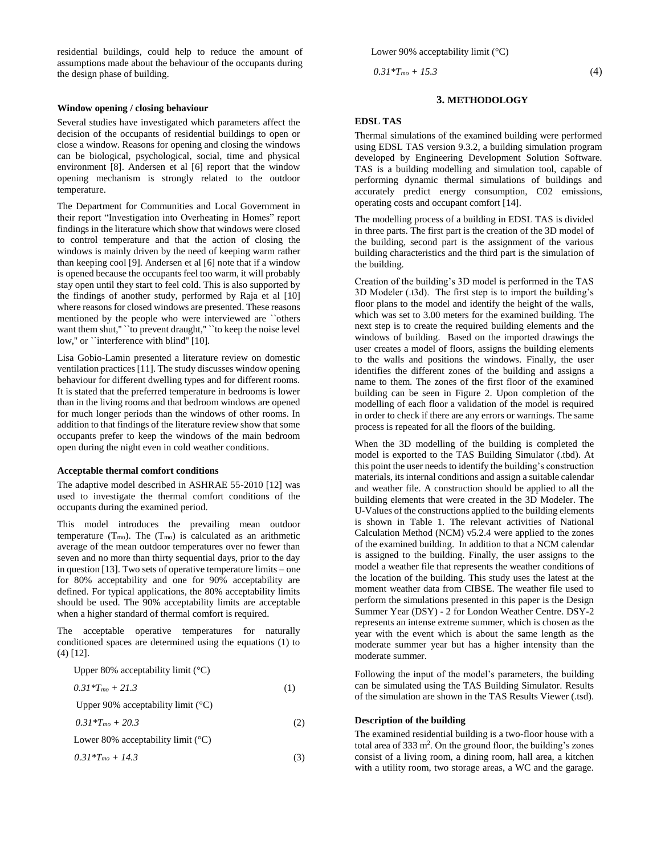residential buildings, could help to reduce the amount of assumptions made about the behaviour of the occupants during the design phase of building.

#### **Window opening / closing behaviour**

Several studies have investigated which parameters affect the decision of the occupants of residential buildings to open or close a window. Reasons for opening and closing the windows can be biological, psychological, social, time and physical environment [8]. Andersen et al [6] report that the window opening mechanism is strongly related to the outdoor temperature.

The Department for Communities and Local Government in their report "Investigation into Overheating in Homes" report findings in the literature which show that windows were closed to control temperature and that the action of closing the windows is mainly driven by the need of keeping warm rather than keeping cool [9]. Andersen et al [6] note that if a window is opened because the occupants feel too warm, it will probably stay open until they start to feel cold. This is also supported by the findings of another study, performed by Raja et al [10] where reasons for closed windows are presented. These reasons mentioned by the people who were interviewed are ``others want them shut," `` to prevent draught," `` to keep the noise level low," or ``interference with blind" [10].

Lisa Gobio-Lamin presented a literature review on domestic ventilation practices [11]. The study discusses window opening behaviour for different dwelling types and for different rooms. It is stated that the preferred temperature in bedrooms is lower than in the living rooms and that bedroom windows are opened for much longer periods than the windows of other rooms. In addition to that findings of the literature review show that some occupants prefer to keep the windows of the main bedroom open during the night even in cold weather conditions.

#### **Acceptable thermal comfort conditions**

The adaptive model described in ASHRAE 55-2010 [12] was used to investigate the thermal comfort conditions of the occupants during the examined period.

This model introduces the prevailing mean outdoor temperature  $(T_{\text{mo}})$ . The  $(T_{\text{mo}})$  is calculated as an arithmetic average of the mean outdoor temperatures over no fewer than seven and no more than thirty sequential days, prior to the day in question [13]. Two sets of operative temperature limits – one for 80% acceptability and one for 90% acceptability are defined. For typical applications, the 80% acceptability limits should be used. The 90% acceptability limits are acceptable when a higher standard of thermal comfort is required.

The acceptable operative temperatures for naturally conditioned spaces are determined using the equations (1) to (4) [12].

Upper 80% acceptability limit (°C)

$$
0.31 * T_{mo} + 21.3 \tag{1}
$$

Upper 90% acceptability limit (°C)

 $0.31 * T_{mo} + 20.3$  (2)

Lower 80% acceptability limit (°C)

 $0.31 * T_{mo} + 14.3$  (3)

Lower 90% acceptability limit (°C)

 $0.31 * T_{mo} + 15.3$  (4)

#### **3. METHODOLOGY**

#### **EDSL TAS**

Thermal simulations of the examined building were performed using EDSL TAS version 9.3.2, a building simulation program developed by Engineering Development Solution Software. TAS is a building modelling and simulation tool, capable of performing dynamic thermal simulations of buildings and accurately predict energy consumption, C02 emissions, operating costs and occupant comfort [14].

The modelling process of a building in EDSL TAS is divided in three parts. The first part is the creation of the 3D model of the building, second part is the assignment of the various building characteristics and the third part is the simulation of the building.

Creation of the building's 3D model is performed in the TAS 3D Modeler (.t3d). The first step is to import the building's floor plans to the model and identify the height of the walls, which was set to 3.00 meters for the examined building. The next step is to create the required building elements and the windows of building. Based on the imported drawings the user creates a model of floors, assigns the building elements to the walls and positions the windows. Finally, the user identifies the different zones of the building and assigns a name to them. The zones of the first floor of the examined building can be seen in Figure 2. Upon completion of the modelling of each floor a validation of the model is required in order to check if there are any errors or warnings. The same process is repeated for all the floors of the building.

When the 3D modelling of the building is completed the model is exported to the TAS Building Simulator (.tbd). At this point the user needs to identify the building's construction materials, its internal conditions and assign a suitable calendar and weather file. A construction should be applied to all the building elements that were created in the 3D Modeler. The U-Values of the constructions applied to the building elements is shown in Table 1. The relevant activities of National Calculation Method (NCM) v5.2.4 were applied to the zones of the examined building. In addition to that a NCM calendar is assigned to the building. Finally, the user assigns to the model a weather file that represents the weather conditions of the location of the building. This study uses the latest at the moment weather data from CIBSE. The weather file used to perform the simulations presented in this paper is the Design Summer Year (DSY) - 2 for London Weather Centre. DSY-2 represents an intense extreme summer, which is chosen as the year with the event which is about the same length as the moderate summer year but has a higher intensity than the moderate summer.

Following the input of the model's parameters, the building can be simulated using the TAS Building Simulator. Results of the simulation are shown in the TAS Results Viewer (.tsd).

#### **Description of the building**

The examined residential building is a two-floor house with a total area of  $333 \text{ m}^2$ . On the ground floor, the building's zones consist of a living room, a dining room, hall area, a kitchen with a utility room, two storage areas, a WC and the garage.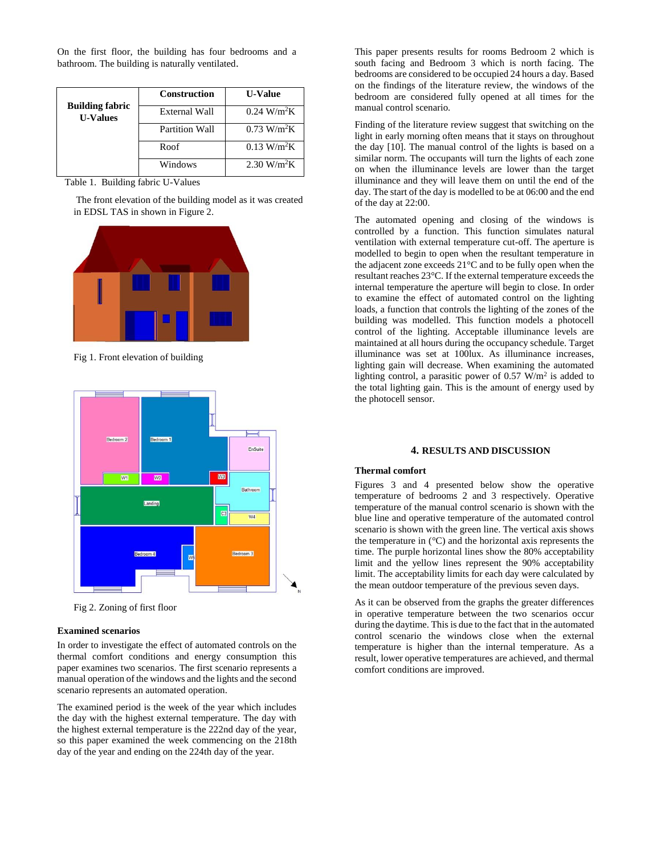On the first floor, the building has four bedrooms and a bathroom. The building is naturally ventilated.

|                                           | <b>Construction</b> | <b>U-Value</b>               |
|-------------------------------------------|---------------------|------------------------------|
| <b>Building fabric</b><br><b>U-Values</b> | External Wall       | $0.24 \text{ W/m}^2\text{K}$ |
|                                           | Partition Wall      | $0.73 \text{ W/m}^2\text{K}$ |
|                                           | Roof                | $0.13 \text{ W/m}^2\text{K}$ |
|                                           | Windows             | $2.30 \text{ W/m}^2\text{K}$ |

Table 1. Building fabric U-Values

The front elevation of the building model as it was created in EDSL TAS in shown in Figure 2.



Fig 1. Front elevation of building



Fig 2. Zoning of first floor

#### **Examined scenarios**

In order to investigate the effect of automated controls on the thermal comfort conditions and energy consumption this paper examines two scenarios. The first scenario represents a manual operation of the windows and the lights and the second scenario represents an automated operation.

The examined period is the week of the year which includes the day with the highest external temperature. The day with the highest external temperature is the 222nd day of the year, so this paper examined the week commencing on the 218th day of the year and ending on the 224th day of the year.

This paper presents results for rooms Bedroom 2 which is south facing and Bedroom 3 which is north facing. The bedrooms are considered to be occupied 24 hours a day. Based on the findings of the literature review, the windows of the bedroom are considered fully opened at all times for the manual control scenario.

Finding of the literature review suggest that switching on the light in early morning often means that it stays on throughout the day [10]. The manual control of the lights is based on a similar norm. The occupants will turn the lights of each zone on when the illuminance levels are lower than the target illuminance and they will leave them on until the end of the day. The start of the day is modelled to be at 06:00 and the end of the day at 22:00.

The automated opening and closing of the windows is controlled by a function. This function simulates natural ventilation with external temperature cut-off. The aperture is modelled to begin to open when the resultant temperature in the adjacent zone exceeds 21°C and to be fully open when the resultant reaches 23°C. If the external temperature exceeds the internal temperature the aperture will begin to close. In order to examine the effect of automated control on the lighting loads, a function that controls the lighting of the zones of the building was modelled. This function models a photocell control of the lighting. Acceptable illuminance levels are maintained at all hours during the occupancy schedule. Target illuminance was set at 100lux. As illuminance increases, lighting gain will decrease. When examining the automated lighting control, a parasitic power of  $0.57$  W/m<sup>2</sup> is added to the total lighting gain. This is the amount of energy used by the photocell sensor.

#### **4. RESULTS AND DISCUSSION**

## **Thermal comfort**

Figures 3 and 4 presented below show the operative temperature of bedrooms 2 and 3 respectively. Operative temperature of the manual control scenario is shown with the blue line and operative temperature of the automated control scenario is shown with the green line. The vertical axis shows the temperature in  $(^{\circ}C)$  and the horizontal axis represents the time. The purple horizontal lines show the 80% acceptability limit and the yellow lines represent the 90% acceptability limit. The acceptability limits for each day were calculated by the mean outdoor temperature of the previous seven days.

As it can be observed from the graphs the greater differences in operative temperature between the two scenarios occur during the daytime. This is due to the fact that in the automated control scenario the windows close when the external temperature is higher than the internal temperature. As a result, lower operative temperatures are achieved, and thermal comfort conditions are improved.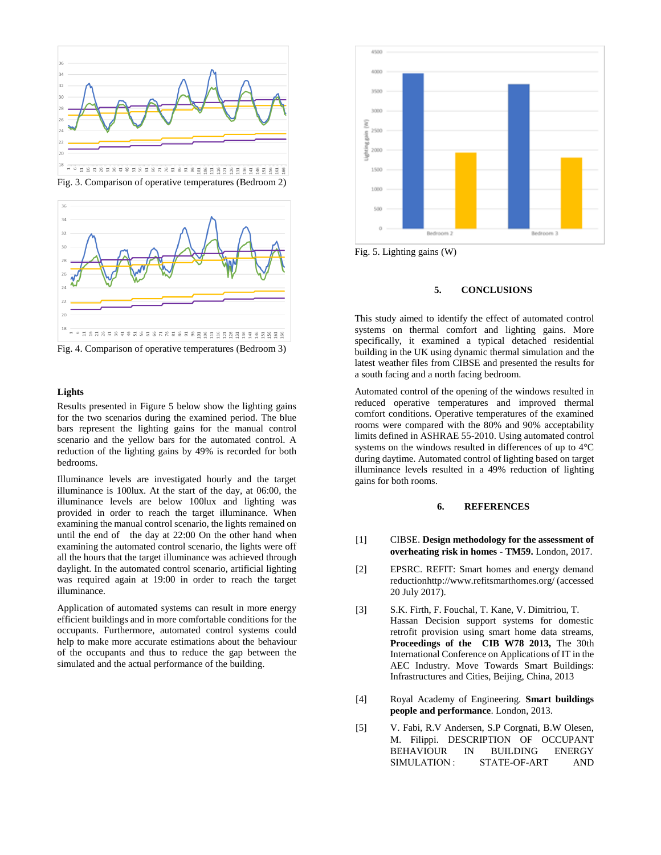



Fig. 4. Comparison of operative temperatures (Bedroom 3)

#### **Lights**

Results presented in Figure 5 below show the lighting gains for the two scenarios during the examined period. The blue bars represent the lighting gains for the manual control scenario and the yellow bars for the automated control. A reduction of the lighting gains by 49% is recorded for both bedrooms.

Illuminance levels are investigated hourly and the target illuminance is 100lux. At the start of the day, at 06:00, the illuminance levels are below 100lux and lighting was provided in order to reach the target illuminance. When examining the manual control scenario, the lights remained on until the end of the day at 22:00 On the other hand when examining the automated control scenario, the lights were off all the hours that the target illuminance was achieved through daylight. In the automated control scenario, artificial lighting was required again at 19:00 in order to reach the target illuminance.

Application of automated systems can result in more energy efficient buildings and in more comfortable conditions for the occupants. Furthermore, automated control systems could help to make more accurate estimations about the behaviour of the occupants and thus to reduce the gap between the simulated and the actual performance of the building.



Fig. 5. Lighting gains (W)

#### **5. CONCLUSIONS**

This study aimed to identify the effect of automated control systems on thermal comfort and lighting gains. More specifically, it examined a typical detached residential building in the UK using dynamic thermal simulation and the latest weather files from CIBSE and presented the results for a south facing and a north facing bedroom.

Automated control of the opening of the windows resulted in reduced operative temperatures and improved thermal comfort conditions. Operative temperatures of the examined rooms were compared with the 80% and 90% acceptability limits defined in ASHRAE 55-2010. Using automated control systems on the windows resulted in differences of up to 4°C during daytime. Automated control of lighting based on target illuminance levels resulted in a 49% reduction of lighting gains for both rooms.

## **6. REFERENCES**

- [1] CIBSE. **Design methodology for the assessment of overheating risk in homes - TM59.** London, 2017.
- [2] EPSRC. REFIT: Smart homes and energy demand reductionhttp://www.refitsmarthomes.org/ (accessed 20 July 2017).
- [3] S.K. Firth, F. Fouchal, T. Kane, V. Dimitriou, T. Hassan Decision support systems for domestic retrofit provision using smart home data streams, **Proceedings of the CIB W78 2013,** The 30th International Conference on Applications of IT in the AEC Industry. Move Towards Smart Buildings: Infrastructures and Cities, Beijing, China, 2013
- [4] Royal Academy of Engineering. **Smart buildings people and performance**. London, 2013.
- [5] V. Fabi, R.V Andersen, S.P Corgnati, B.W Olesen, M. Filippi. DESCRIPTION OF OCCUPANT BEHAVIOUR IN BUILDING ENERGY SIMULATION : STATE-OF-ART AND